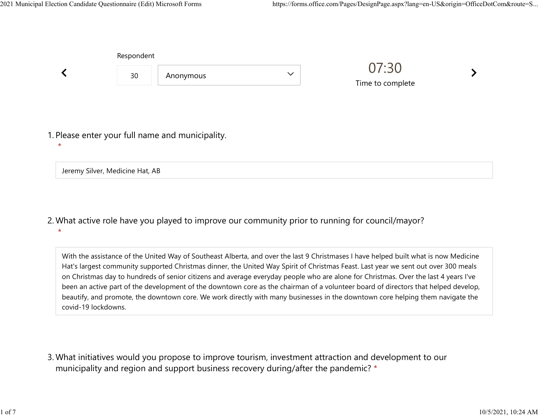|                                 | Respondent |                                                  |              |                           |  |
|---------------------------------|------------|--------------------------------------------------|--------------|---------------------------|--|
|                                 | 30         | Anonymous                                        | $\checkmark$ | 07:30<br>Time to complete |  |
| $\star$                         |            | 1. Please enter your full name and municipality. |              |                           |  |
| Jeremy Silver, Medicine Hat, AB |            |                                                  |              |                           |  |

What active role have you played to improve our community prior to running for council/mayor? 2. \*

With the assistance of the United Way of Southeast Alberta, and over the last 9 Christmases I have helped built what is now Medicine Hat's largest community supported Christmas dinner, the United Way Spirit of Christmas Feast. Last year we sent out over 300 meals on Christmas day to hundreds of senior citizens and average everyday people who are alone for Christmas. Over the last 4 years I've been an active part of the development of the downtown core as the chairman of a volunteer board of directors that helped develop, beautify, and promote, the downtown core. We work directly with many businesses in the downtown core helping them navigate the covid-19 lockdowns.

What initiatives would you propose to improve tourism, investment attraction and development to our 3. municipality and region and support business recovery during/after the pandemic? \*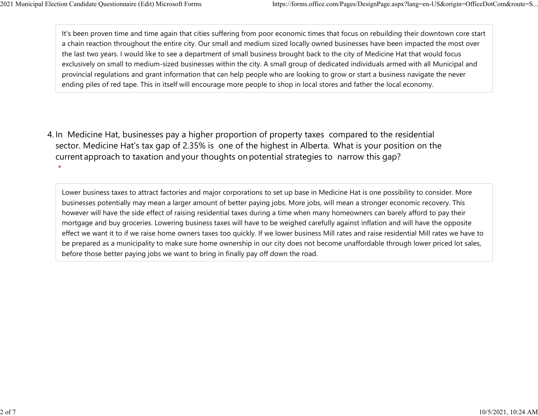It's been proven time and time again that cities suffering from poor economic times that focus on rebuilding their downtown core start a chain reaction throughout the entire city. Our small and medium sized locally owned businesses have been impacted the most over the last two years. I would like to see a department of small business brought back to the city of Medicine Hat that would focus exclusively on small to medium-sized businesses within the city. A small group of dedicated individuals armed with all Municipal and provincial regulations and grant information that can help people who are looking to grow or start a business navigate the never ending piles of red tape. This in itself will encourage more people to shop in local stores and father the local economy. 2021 Municipal Election Candidate Questionnaire (Edit) Microsoft Forms https://forms.office.com/Pages/DesignPage.aspx?lang=en-US&origin=OfficeDotCom&route=S...<br>It's been proven time and time again that cities suffering fro

4. In Medicine Hat, businesses pay a higher proportion of property taxes compared to the residential sector.  Medicine Hat's tax gap of 2.35% is one of the highest in Alberta.  What is your position on the current approach to taxation and your thoughts on potential strategies to narrow this gap? \*

Lower business taxes to attract factories and major corporations to set up base in Medicine Hat is one possibility to consider. More businesses potentially may mean a larger amount of better paying jobs. More jobs, will mean a stronger economic recovery. This however will have the side effect of raising residential taxes during a time when many homeowners can barely afford to pay their mortgage and buy groceries. Lowering business taxes will have to be weighed carefully against inflation and will have the opposite effect we want it to if we raise home owners taxes too quickly. If we lower business Mill rates and raise residential Mill rates we have to be prepared as a municipality to make sure home ownership in our city does not become unaffordable through lower priced lot sales, before those better paying jobs we want to bring in finally pay off down the road.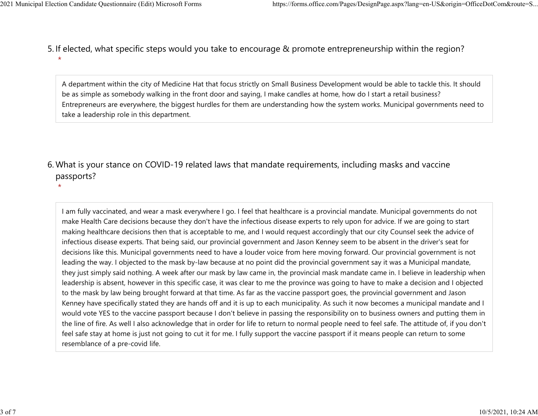5. If elected, what specific steps would you take to encourage & promote entrepreneurship within the region? \* 2021 Municipal Election Candidate Questionnaire (Edit) Microsoft Forms https://forms.office.com/Pages/DesignPage.aspx?lang=en-US&origin=OfficeDotCom&route=S...<br>5. If elected what specific steps would you take to encourage

> A department within the city of Medicine Hat that focus strictly on Small Business Development would be able to tackle this. It should be as simple as somebody walking in the front door and saying, I make candles at home, how do I start a retail business? Entrepreneurs are everywhere, the biggest hurdles for them are understanding how the system works. Municipal governments need to take a leadership role in this department.

What is your stance on COVID-19 related laws that mandate requirements, including masks and vaccine 6. passports?

\*

I am fully vaccinated, and wear a mask everywhere I go. I feel that healthcare is a provincial mandate. Municipal governments do not make Health Care decisions because they don't have the infectious disease experts to rely upon for advice. If we are going to start making healthcare decisions then that is acceptable to me, and I would request accordingly that our city Counsel seek the advice of infectious disease experts. That being said, our provincial government and Jason Kenney seem to be absent in the driver's seat for decisions like this. Municipal governments need to have a louder voice from here moving forward. Our provincial government is not leading the way. I objected to the mask by-law because at no point did the provincial government say it was a Municipal mandate, they just simply said nothing. A week after our mask by law came in, the provincial mask mandate came in. I believe in leadership when leadership is absent, however in this specific case, it was clear to me the province was going to have to make a decision and I objected to the mask by law being brought forward at that time. As far as the vaccine passport goes, the provincial government and Jason Kenney have specifically stated they are hands off and it is up to each municipality. As such it now becomes a municipal mandate and I would vote YES to the vaccine passport because I don't believe in passing the responsibility on to business owners and putting them in the line of fire. As well I also acknowledge that in order for life to return to normal people need to feel safe. The attitude of, if you don't feel safe stay at home is just not going to cut it for me. I fully support the vaccine passport if it means people can return to some resemblance of a pre-covid life.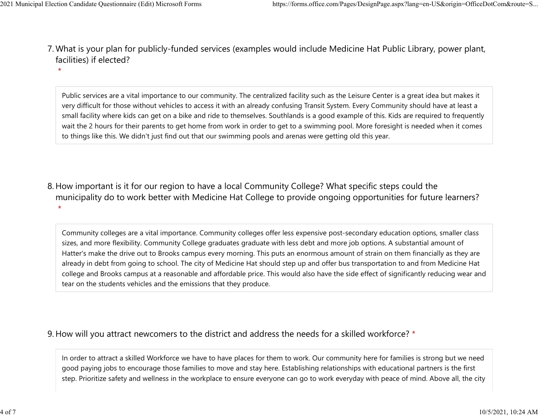- What is your plan for publicly-funded services (examples would include Medicine Hat Public Library, power plant, 7. facilities) if elected? 2021 Municipal Election Candidate Questionnaire (Edit) Microsoft Forms https://forms.office.com/Pages/DesignPage.aspx?lang=en-US&origin=OfficeDotCom&route=S...<br>7 Mhat is vour plan for publicly-funded services (examples wou
	- \*

Public services are a vital importance to our community. The centralized facility such as the Leisure Center is a great idea but makes it very difficult for those without vehicles to access it with an already confusing Transit System. Every Community should have at least a small facility where kids can get on a bike and ride to themselves. Southlands is a good example of this. Kids are required to frequently wait the 2 hours for their parents to get home from work in order to get to a swimming pool. More foresight is needed when it comes to things like this. We didn't just find out that our swimming pools and arenas were getting old this year.

8. How important is it for our region to have a local Community College? What specific steps could the municipality do to work better with Medicine Hat College to provide ongoing opportunities for future learners? \*

Community colleges are a vital importance. Community colleges offer less expensive post-secondary education options, smaller class sizes, and more flexibility. Community College graduates graduate with less debt and more job options. A substantial amount of Hatter's make the drive out to Brooks campus every morning. This puts an enormous amount of strain on them financially as they are already in debt from going to school. The city of Medicine Hat should step up and offer bus transportation to and from Medicine Hat college and Brooks campus at a reasonable and affordable price. This would also have the side effect of significantly reducing wear and tear on the students vehicles and the emissions that they produce.

## 9. How will you attract newcomers to the district and address the needs for a skilled workforce? \*

In order to attract a skilled Workforce we have to have places for them to work. Our community here for families is strong but we need good paying jobs to encourage those families to move and stay here. Establishing relationships with educational partners is the first step. Prioritize safety and wellness in the workplace to ensure everyone can go to work everyday with peace of mind. Above all, the city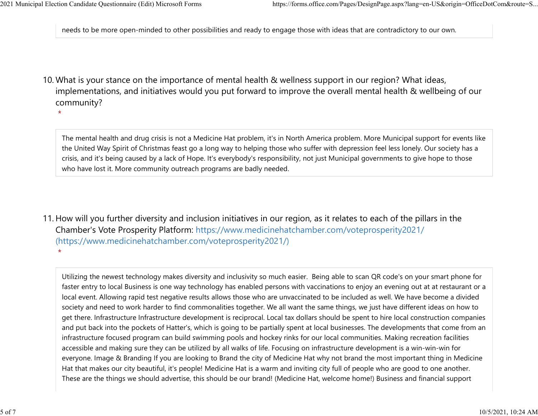needs to be more open-minded to other possibilities and ready to engage those with ideas that are contradictory to our own. 2021 Municipal Election Candidate Questionnaire (Edit) Microsoft Forms https://forms.office.com/Pages/DesignPage.aspx?lang=en-US&origin=OfficeDotCom&route=S...<br>|<br>| needs to be more open-minded to other possibilities and re

10. What is your stance on the importance of mental health & wellness support in our region? What ideas, implementations, and initiatives would you put forward to improve the overall mental health & wellbeing of our community?

\*

The mental health and drug crisis is not a Medicine Hat problem, it's in North America problem. More Municipal support for events like the United Way Spirit of Christmas feast go a long way to helping those who suffer with depression feel less lonely. Our society has a crisis, and it's being caused by a lack of Hope. It's everybody's responsibility, not just Municipal governments to give hope to those who have lost it. More community outreach programs are badly needed.

11. How will you further diversity and inclusion initiatives in our region, as it relates to each of the pillars in the Chamber's Vote Prosperity Platform: https://www.medicinehatchamber.com/voteprosperity2021/ (https://www.medicinehatchamber.com/voteprosperity2021/) \*

Utilizing the newest technology makes diversity and inclusivity so much easier. Being able to scan QR code's on your smart phone for faster entry to local Business is one way technology has enabled persons with vaccinations to enjoy an evening out at at restaurant or a local event. Allowing rapid test negative results allows those who are unvaccinated to be included as well. We have become a divided society and need to work harder to find commonalities together. We all want the same things, we just have different ideas on how to get there. Infrastructure Infrastructure development is reciprocal. Local tax dollars should be spent to hire local construction companies and put back into the pockets of Hatter's, which is going to be partially spent at local businesses. The developments that come from an infrastructure focused program can build swimming pools and hockey rinks for our local communities. Making recreation facilities accessible and making sure they can be utilized by all walks of life. Focusing on infrastructure development is a win-win-win for everyone. Image & Branding If you are looking to Brand the city of Medicine Hat why not brand the most important thing in Medicine Hat that makes our city beautiful, it's people! Medicine Hat is a warm and inviting city full of people who are good to one another. These are the things we should advertise, this should be our brand! (Medicine Hat, welcome home!) Business and financial support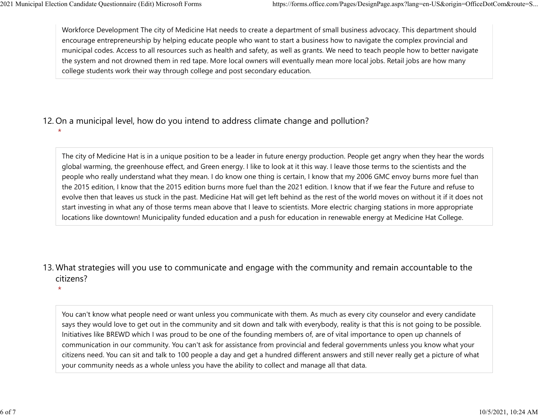\*

Workforce Development The city of Medicine Hat needs to create a department of small business advocacy. This department should encourage entrepreneurship by helping educate people who want to start a business how to navigate the complex provincial and municipal codes. Access to all resources such as health and safety, as well as grants. We need to teach people how to better navigate the system and not drowned them in red tape. More local owners will eventually mean more local jobs. Retail jobs are how many college students work their way through college and post secondary education. 2021 Municipal Election Candidate Questionnaire (Edit) Microsoft Forms https://forms.office.com/Pages/DesignPage.aspx?lang=en-US&origin=OfficeDotCom&route=S...<br>Workforce Development The city of Medicine Hat needs to create

12. On a municipal level, how do you intend to address climate change and pollution?

The city of Medicine Hat is in a unique position to be a leader in future energy production. People get angry when they hear the words global warming, the greenhouse effect, and Green energy. I like to look at it this way. I leave those terms to the scientists and the people who really understand what they mean. I do know one thing is certain, I know that my 2006 GMC envoy burns more fuel than the 2015 edition, I know that the 2015 edition burns more fuel than the 2021 edition. I know that if we fear the Future and refuse to evolve then that leaves us stuck in the past. Medicine Hat will get left behind as the rest of the world moves on without it if it does not start investing in what any of those terms mean above that I leave to scientists. More electric charging stations in more appropriate locations like downtown! Municipality funded education and a push for education in renewable energy at Medicine Hat College.

13. What strategies will you use to communicate and engage with the community and remain accountable to the citizens?

\*

You can't know what people need or want unless you communicate with them. As much as every city counselor and every candidate says they would love to get out in the community and sit down and talk with everybody, reality is that this is not going to be possible. Initiatives like BREWD which I was proud to be one of the founding members of, are of vital importance to open up channels of communication in our community. You can't ask for assistance from provincial and federal governments unless you know what your citizens need. You can sit and talk to 100 people a day and get a hundred different answers and still never really get a picture of what your community needs as a whole unless you have the ability to collect and manage all that data.